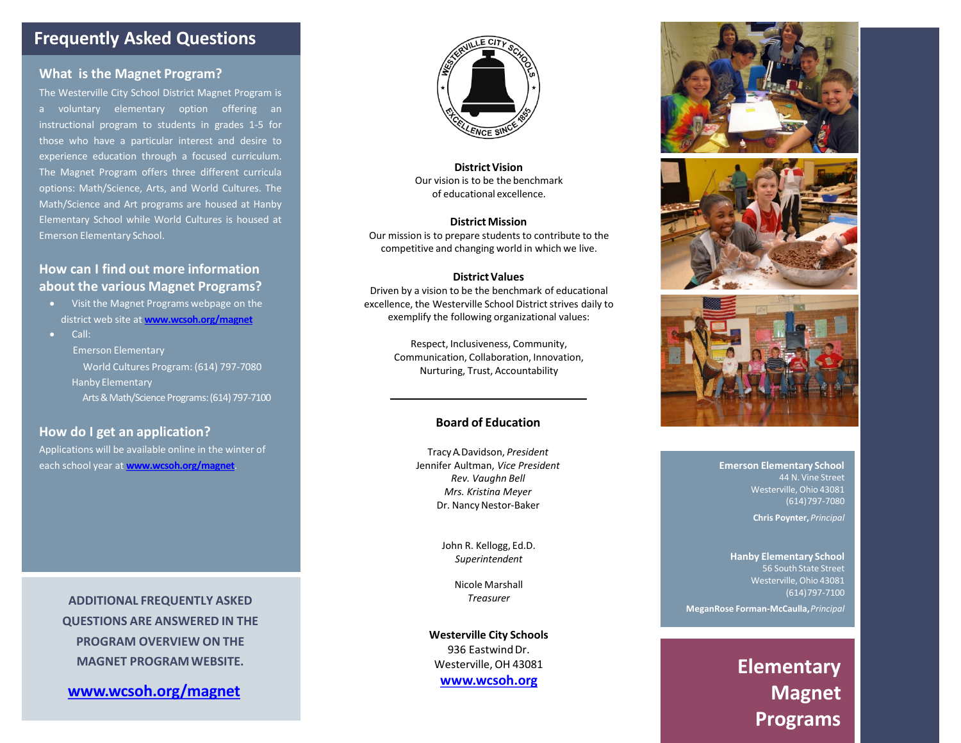## **Frequently Asked Questions**

### **What is the Magnet Program?**

The Westerville City School District Magnet Program is a voluntary elementary option offering an instructional program to students in grades 1-5 for those who have a particular interest and desire to experience education through a focused curriculum. The Magnet Program offers three different curricula options: Math/Science, Arts, and World Cultures. The Math/Science and Art programs are housed at Hanby Elementary School while World Cultures is housed at Emerson Elementary School.

## **How can I find out more information about the various Magnet Programs?**

- Visit the Magnet Programs webpage on the district web site at **[www.wcsoh.org/magnet](http://www.wcsoh.org/magnet)**
- Call:
	- Emerson Elementary

World Cultures Program: (614) 797-7080 Hanby Elementary

Arts & Math/Science Programs: (614) 797-7100

### **How do I get an application?**

Applications will be available online in the winter of each school year at **[www.wcsoh.org/magnet](http://www.wcsoh.org/magnet)**.

> **ADDITIONAL FREQUENTLY ASKED QUESTIONS ARE ANSWERED IN THE PROGRAM OVERVIEW ON THE MAGNET PROGRAMWEBSITE.**

**[www.wcsoh.org/magnet](http://www.WCSOH.org/magnet)**



**District Vision** Our vision is to be the benchmark of educational excellence.

#### **District Mission**

Our mission is to prepare students to contribute to the competitive and changing world in which we live.

#### **District Values**

Driven by a vision to be the benchmark of educational excellence, the Westerville School District strives daily to exemplify the following organizational values:

> Respect, Inclusiveness, Community, Communication, Collaboration, Innovation, Nurturing, Trust, Accountability

### **Board of Education**

TracyA. Davidson, *President* Jennifer Aultman, *Vice President Rev. Vaughn Bell Mrs. Kristina Meyer*  Dr. Nancy Nestor-Baker

> John R. Kellogg, Ed.D. *Superintendent*

> > Nicole Marshall *Treasurer*

**Westerville City Schools** 936 Eastwind Dr. Westerville, OH 43081 **[www.wcsoh.org](http://www.wcsoh.org/)**







**Emerson Elementary School** 44 N. Vine Street Westerville, Ohio 43081 (614)797-7080

**Chris Poynter,** *Principal*

**Hanby Elementary School**  56 South State Street Westerville, Ohio 43081 (614)797-7100 **MeganRose Forman-McCaulla,***Principal*

> **Elementary Magnet Programs**